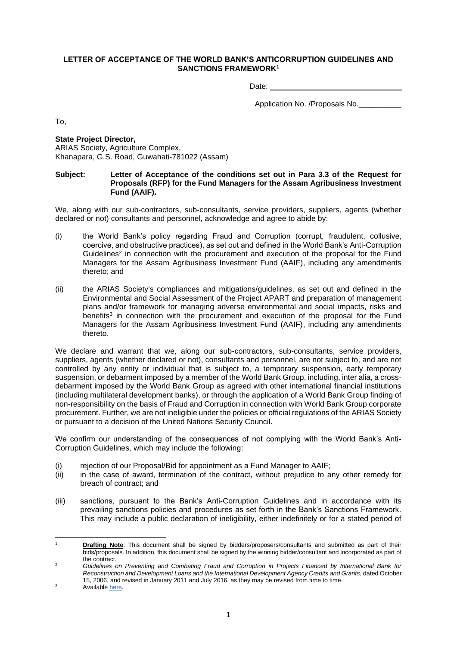## **LETTER OF ACCEPTANCE OF THE WORLD BANK'S ANTICORRUPTION GUIDELINES AND SANCTIONS FRAMEWORK<sup>1</sup>**

Date:

Application No. /Proposals No.

To,

**State Project Director,**  ARIAS Society, Agriculture Complex, Khanapara, G.S. Road, Guwahati-781022 (Assam)

## **Subject: Letter of Acceptance of the conditions set out in Para 3.3 of the Request for Proposals (RFP) for the Fund Managers for the Assam Agribusiness Investment Fund (AAIF).**

We, along with our sub-contractors, sub-consultants, service providers, suppliers, agents (whether declared or not) consultants and personnel, acknowledge and agree to abide by:

- (i) the World Bank's policy regarding Fraud and Corruption (corrupt, fraudulent, collusive, coercive, and obstructive practices), as set out and defined in the World Bank's Anti-Corruption Guidelines<sup>2</sup> in connection with the procurement and execution of the proposal for the Fund Managers for the Assam Agribusiness Investment Fund (AAIF), including any amendments thereto; and
- (ii) the ARIAS Society's compliances and mitigations/guidelines, as set out and defined in the Environmental and Social Assessment of the Project APART and preparation of management plans and/or framework for managing adverse environmental and social impacts, risks and benefits<sup>3</sup> in connection with the procurement and execution of the proposal for the Fund Managers for the Assam Agribusiness Investment Fund (AAIF), including any amendments thereto.

We declare and warrant that we, along our sub-contractors, sub-consultants, service providers, suppliers, agents (whether declared or not), consultants and personnel, are not subject to, and are not controlled by any entity or individual that is subject to, a temporary suspension, early temporary suspension, or debarment imposed by a member of the World Bank Group, including, inter alia, a crossdebarment imposed by the World Bank Group as agreed with other international financial institutions (including multilateral development banks), or through the application of a World Bank Group finding of non-responsibility on the basis of Fraud and Corruption in connection with World Bank Group corporate procurement. Further, we are not ineligible under the policies or official regulations of the ARIAS Society or pursuant to a decision of the United Nations Security Council.

We confirm our understanding of the consequences of not complying with the World Bank's Anti-Corruption Guidelines, which may include the following:

- (i) rejection of our Proposal/Bid for appointment as a Fund Manager to AAIF;
- (ii) in the case of award, termination of the contract, without prejudice to any other remedy for breach of contract; and
- (iii) sanctions, pursuant to the Bank's Anti-Corruption Guidelines and in accordance with its prevailing sanctions policies and procedures as set forth in the Bank's Sanctions Framework. This may include a public declaration of ineligibility, either indefinitely or for a stated period of

<sup>1</sup> **Drafting Note**: This document shall be signed by bidders/proposers/consultants and submitted as part of their bids/proposals. In addition, this document shall be signed by the winning bidder/consultant and incorporated as part of the contract.

<sup>2</sup> *Guidelines on Preventing and Combating Fraud and Corruption in Projects Financed by International Bank for Reconstruction and Development Loans and the International Development Agency Credits and Grants*, dated October 15, 2006, and revised in January 2011 and July 2016, as they may be revised from time to time.

 $3$  Availabl[e here.](http://www.arias.in/download/APART/EASA/FINAL%20REPORT%20ON%20ENVIRONMENTAL%20ASSESSMENT%20AND%20ENVIRONMENTAL%20MANAGEMENT%20FRAMEWORK.pdf)